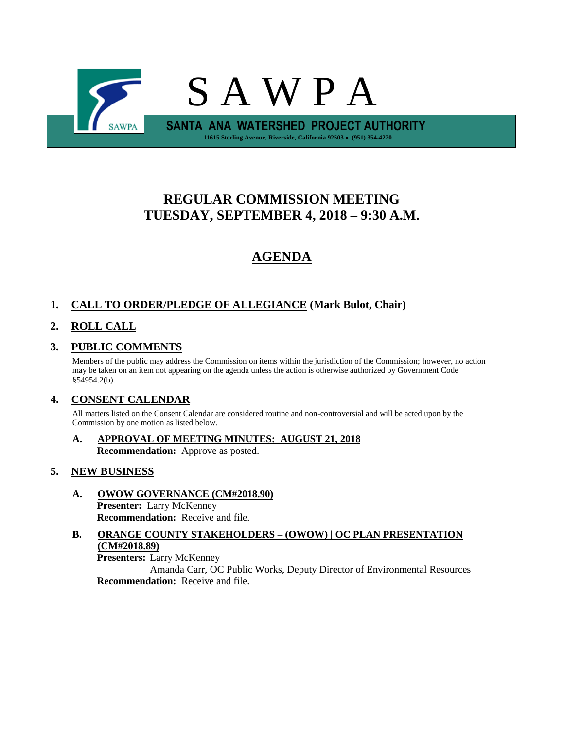

# **REGULAR COMMISSION MEETING TUESDAY, SEPTEMBER 4, 2018 – 9:30 A.M.**

# **AGENDA**

## **1. CALL TO ORDER/PLEDGE OF ALLEGIANCE (Mark Bulot, Chair)**

# **2. ROLL CALL**

## **3. PUBLIC COMMENTS**

Members of the public may address the Commission on items within the jurisdiction of the Commission; however, no action may be taken on an item not appearing on the agenda unless the action is otherwise authorized by Government Code §54954.2(b).

### **4. CONSENT CALENDAR**

All matters listed on the Consent Calendar are considered routine and non-controversial and will be acted upon by the Commission by one motion as listed below.

**A. APPROVAL OF MEETING MINUTES: AUGUST 21, 2018 Recommendation:** Approve as posted.

#### **5. NEW BUSINESS**

**A. OWOW GOVERNANCE (CM#2018.90) Presenter:** Larry McKenney **Recommendation:** Receive and file.

## **B. ORANGE COUNTY STAKEHOLDERS – (OWOW) | OC PLAN PRESENTATION (CM#2018.89)**

**Presenters:** Larry McKenney

Amanda Carr, OC Public Works, Deputy Director of Environmental Resources **Recommendation:** Receive and file.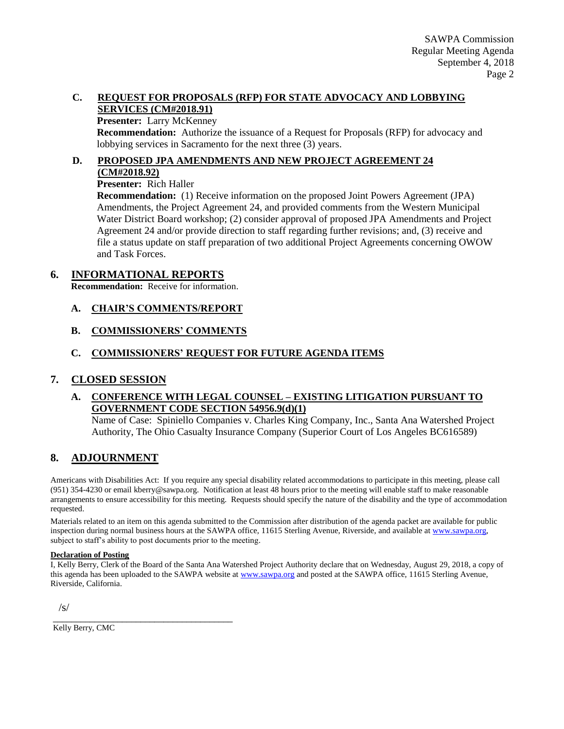#### **C. REQUEST FOR PROPOSALS (RFP) FOR STATE ADVOCACY AND LOBBYING SERVICES (CM#2018.91)**

#### **Presenter:** Larry McKenney

**Recommendation:** Authorize the issuance of a Request for Proposals (RFP) for advocacy and lobbying services in Sacramento for the next three (3) years.

#### **D. PROPOSED JPA AMENDMENTS AND NEW PROJECT AGREEMENT 24 (CM#2018.92)**

#### **Presenter:** Rich Haller

**Recommendation:** (1) Receive information on the proposed Joint Powers Agreement (JPA) Amendments, the Project Agreement 24, and provided comments from the Western Municipal Water District Board workshop; (2) consider approval of proposed JPA Amendments and Project Agreement 24 and/or provide direction to staff regarding further revisions; and, (3) receive and file a status update on staff preparation of two additional Project Agreements concerning OWOW and Task Forces.

#### **6. INFORMATIONAL REPORTS**

**Recommendation:** Receive for information.

- **A. CHAIR'S COMMENTS/REPORT**
- **B. COMMISSIONERS' COMMENTS**

### **C. COMMISSIONERS' REQUEST FOR FUTURE AGENDA ITEMS**

#### **7. CLOSED SESSION**

#### **A. CONFERENCE WITH LEGAL COUNSEL – EXISTING LITIGATION PURSUANT TO GOVERNMENT CODE SECTION 54956.9(d)(1)**

Name of Case: Spiniello Companies v. Charles King Company, Inc., Santa Ana Watershed Project Authority, The Ohio Casualty Insurance Company (Superior Court of Los Angeles BC616589)

#### **8. ADJOURNMENT**

Americans with Disabilities Act: If you require any special disability related accommodations to participate in this meeting, please call (951) 354-4230 or email kberry@sawpa.org. Notification at least 48 hours prior to the meeting will enable staff to make reasonable arrangements to ensure accessibility for this meeting. Requests should specify the nature of the disability and the type of accommodation requested.

Materials related to an item on this agenda submitted to the Commission after distribution of the agenda packet are available for public inspection during normal business hours at the SAWPA office, 11615 Sterling Avenue, Riverside, and available a[t www.sawpa.org,](http://www.sawpa.org/) subject to staff's ability to post documents prior to the meeting.

#### **Declaration of Posting**

I, Kelly Berry, Clerk of the Board of the Santa Ana Watershed Project Authority declare that on Wednesday, August 29, 2018, a copy of this agenda has been uploaded to the SAWPA website at [www.sawpa.org](http://www.sawpa.org/) and posted at the SAWPA office, 11615 Sterling Avenue, Riverside, California.

/s/

\_\_\_\_\_\_\_\_\_\_\_\_\_\_\_\_\_\_\_\_\_\_\_\_\_\_\_\_\_\_\_\_\_\_\_\_\_\_\_ Kelly Berry, CMC